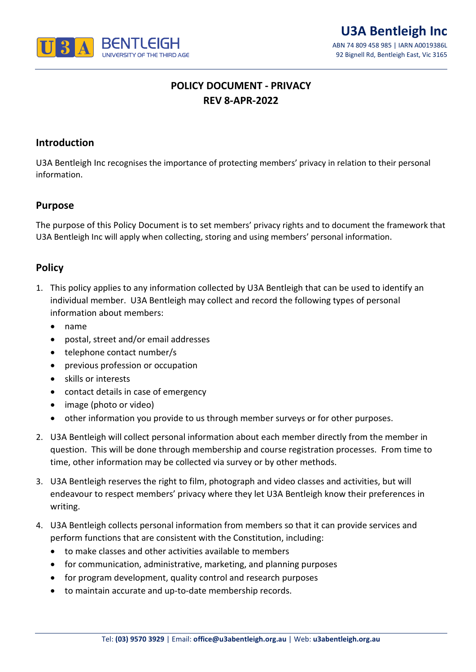

# **POLICY DOCUMENT - PRIVACY REV 8-APR-2022**

#### **Introduction**

U3A Bentleigh Inc recognises the importance of protecting members' privacy in relation to their personal information.

#### **Purpose**

The purpose of this Policy Document is to set members' privacy rights and to document the framework that U3A Bentleigh Inc will apply when collecting, storing and using members' personal information.

## **Policy**

- 1. This policy applies to any information collected by U3A Bentleigh that can be used to identify an individual member. U3A Bentleigh may collect and record the following types of personal information about members:
	- name
	- postal, street and/or email addresses
	- telephone contact number/s
	- previous profession or occupation
	- skills or interests
	- contact details in case of emergency
	- image (photo or video)
	- other information you provide to us through member surveys or for other purposes.
- 2. U3A Bentleigh will collect personal information about each member directly from the member in question. This will be done through membership and course registration processes. From time to time, other information may be collected via survey or by other methods.
- 3. U3A Bentleigh reserves the right to film, photograph and video classes and activities, but will endeavour to respect members' privacy where they let U3A Bentleigh know their preferences in writing.
- 4. U3A Bentleigh collects personal information from members so that it can provide services and perform functions that are consistent with the Constitution, including:
	- to make classes and other activities available to members
	- for communication, administrative, marketing, and planning purposes
	- for program development, quality control and research purposes
	- to maintain accurate and up-to-date membership records.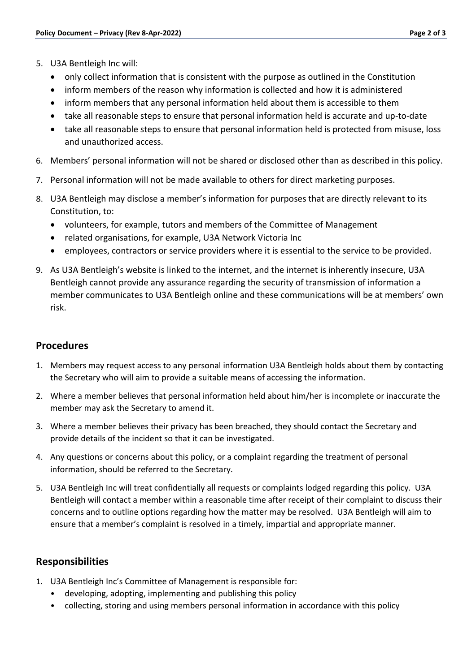- 5. U3A Bentleigh Inc will:
	- only collect information that is consistent with the purpose as outlined in the Constitution
	- inform members of the reason why information is collected and how it is administered
	- inform members that any personal information held about them is accessible to them
	- take all reasonable steps to ensure that personal information held is accurate and up-to-date
	- take all reasonable steps to ensure that personal information held is protected from misuse, loss and unauthorized access.
- 6. Members' personal information will not be shared or disclosed other than as described in this policy.
- 7. Personal information will not be made available to others for direct marketing purposes.
- 8. U3A Bentleigh may disclose a member's information for purposes that are directly relevant to its Constitution, to:
	- volunteers, for example, tutors and members of the Committee of Management
	- related organisations, for example, U3A Network Victoria Inc
	- employees, contractors or service providers where it is essential to the service to be provided.
- 9. As U3A Bentleigh's website is linked to the internet, and the internet is inherently insecure, U3A Bentleigh cannot provide any assurance regarding the security of transmission of information a member communicates to U3A Bentleigh online and these communications will be at members' own risk.

#### **Procedures**

- 1. Members may request access to any personal information U3A Bentleigh holds about them by contacting the Secretary who will aim to provide a suitable means of accessing the information.
- 2. Where a member believes that personal information held about him/her is incomplete or inaccurate the member may ask the Secretary to amend it.
- 3. Where a member believes their privacy has been breached, they should contact the Secretary and provide details of the incident so that it can be investigated.
- 4. Any questions or concerns about this policy, or a complaint regarding the treatment of personal information, should be referred to the Secretary.
- 5. U3A Bentleigh Inc will treat confidentially all requests or complaints lodged regarding this policy. U3A Bentleigh will contact a member within a reasonable time after receipt of their complaint to discuss their concerns and to outline options regarding how the matter may be resolved. U3A Bentleigh will aim to ensure that a member's complaint is resolved in a timely, impartial and appropriate manner.

# **Responsibilities**

- 1. U3A Bentleigh Inc's Committee of Management is responsible for:
	- developing, adopting, implementing and publishing this policy
	- collecting, storing and using members personal information in accordance with this policy